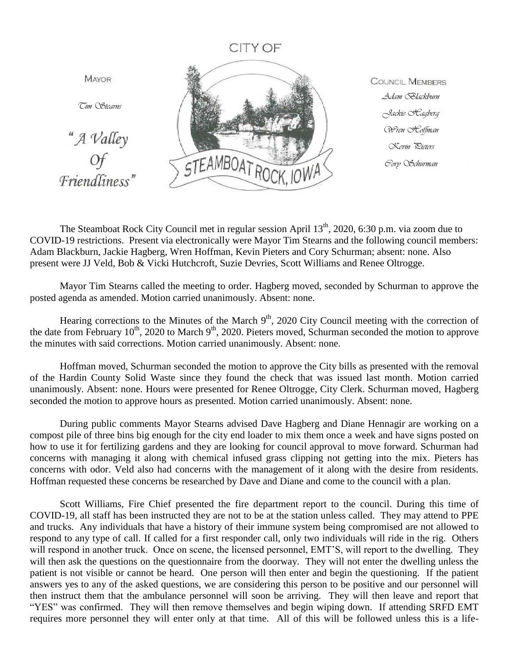## CITY OF



**COUNCIL MEMBERS** *Adam Blackburn Jackie Hagberg Wren Hoffman Kevin Pieters Cory Schurman*

The Steamboat Rock City Council met in regular session April 13<sup>th</sup>, 2020, 6:30 p.m. via zoom due to COVID-19 restrictions. Present via electronically were Mayor Tim Stearns and the following council members: Adam Blackburn, Jackie Hagberg, Wren Hoffman, Kevin Pieters and Cory Schurman; absent: none. Also present were JJ Veld, Bob & Vicki Hutchcroft, Suzie Devries, Scott Williams and Renee Oltrogge.

Mayor Tim Stearns called the meeting to order. Hagberg moved, seconded by Schurman to approve the posted agenda as amended. Motion carried unanimously. Absent: none.

Hearing corrections to the Minutes of the March 9<sup>th</sup>, 2020 City Council meeting with the correction of the date from February 10<sup>th</sup>, 2020 to March 9<sup>th</sup>, 2020. Pieters moved, Schurman seconded the motion to approve the minutes with said corrections. Motion carried unanimously. Absent: none.

Hoffman moved, Schurman seconded the motion to approve the City bills as presented with the removal of the Hardin County Solid Waste since they found the check that was issued last month. Motion carried unanimously. Absent: none. Hours were presented for Renee Oltrogge, City Clerk. Schurman moved, Hagberg seconded the motion to approve hours as presented. Motion carried unanimously. Absent: none.

During public comments Mayor Stearns advised Dave Hagberg and Diane Hennagir are working on a compost pile of three bins big enough for the city end loader to mix them once a week and have signs posted on how to use it for fertilizing gardens and they are looking for council approval to move forward. Schurman had concerns with managing it along with chemical infused grass clipping not getting into the mix. Pieters has concerns with odor. Veld also had concerns with the management of it along with the desire from residents. Hoffman requested these concerns be researched by Dave and Diane and come to the council with a plan.

Scott Williams, Fire Chief presented the fire department report to the council. During this time of COVID-19, all staff has been instructed they are not to be at the station unless called. They may attend to PPE and trucks. Any individuals that have a history of their immune system being compromised are not allowed to respond to any type of call. If called for a first responder call, only two individuals will ride in the rig. Others will respond in another truck. Once on scene, the licensed personnel, EMT'S, will report to the dwelling. They will then ask the questions on the questionnaire from the doorway. They will not enter the dwelling unless the patient is not visible or cannot be heard. One person will then enter and begin the questioning. If the patient answers yes to any of the asked questions, we are considering this person to be positive and our personnel will then instruct them that the ambulance personnel will soon be arriving. They will then leave and report that "YES" was confirmed. They will then remove themselves and begin wiping down. If attending SRFD EMT requires more personnel they will enter only at that time. All of this will be followed unless this is a life-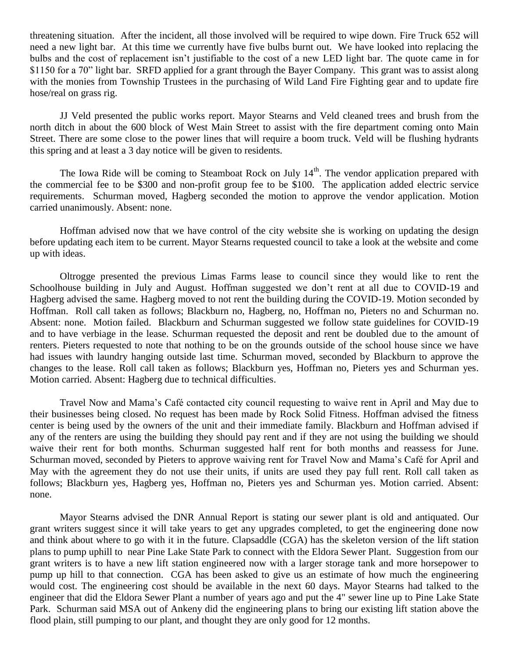threatening situation. After the incident, all those involved will be required to wipe down. Fire Truck 652 will need a new light bar. At this time we currently have five bulbs burnt out. We have looked into replacing the bulbs and the cost of replacement isn't justifiable to the cost of a new LED light bar. The quote came in for \$1150 for a 70" light bar. SRFD applied for a grant through the Bayer Company. This grant was to assist along with the monies from Township Trustees in the purchasing of Wild Land Fire Fighting gear and to update fire hose/real on grass rig.

JJ Veld presented the public works report. Mayor Stearns and Veld cleaned trees and brush from the north ditch in about the 600 block of West Main Street to assist with the fire department coming onto Main Street. There are some close to the power lines that will require a boom truck. Veld will be flushing hydrants this spring and at least a 3 day notice will be given to residents.

The Iowa Ride will be coming to Steamboat Rock on July  $14<sup>th</sup>$ . The vendor application prepared with the commercial fee to be \$300 and non-profit group fee to be \$100. The application added electric service requirements. Schurman moved, Hagberg seconded the motion to approve the vendor application. Motion carried unanimously. Absent: none.

Hoffman advised now that we have control of the city website she is working on updating the design before updating each item to be current. Mayor Stearns requested council to take a look at the website and come up with ideas.

Oltrogge presented the previous Limas Farms lease to council since they would like to rent the Schoolhouse building in July and August. Hoffman suggested we don't rent at all due to COVID-19 and Hagberg advised the same. Hagberg moved to not rent the building during the COVID-19. Motion seconded by Hoffman. Roll call taken as follows; Blackburn no, Hagberg, no, Hoffman no, Pieters no and Schurman no. Absent: none. Motion failed. Blackburn and Schurman suggested we follow state guidelines for COVID-19 and to have verbiage in the lease. Schurman requested the deposit and rent be doubled due to the amount of renters. Pieters requested to note that nothing to be on the grounds outside of the school house since we have had issues with laundry hanging outside last time. Schurman moved, seconded by Blackburn to approve the changes to the lease. Roll call taken as follows; Blackburn yes, Hoffman no, Pieters yes and Schurman yes. Motion carried. Absent: Hagberg due to technical difficulties.

Travel Now and Mama's Café contacted city council requesting to waive rent in April and May due to their businesses being closed. No request has been made by Rock Solid Fitness. Hoffman advised the fitness center is being used by the owners of the unit and their immediate family. Blackburn and Hoffman advised if any of the renters are using the building they should pay rent and if they are not using the building we should waive their rent for both months. Schurman suggested half rent for both months and reassess for June. Schurman moved, seconded by Pieters to approve waiving rent for Travel Now and Mama's Café for April and May with the agreement they do not use their units, if units are used they pay full rent. Roll call taken as follows; Blackburn yes, Hagberg yes, Hoffman no, Pieters yes and Schurman yes. Motion carried. Absent: none.

Mayor Stearns advised the DNR Annual Report is stating our sewer plant is old and antiquated. Our grant writers suggest since it will take years to get any upgrades completed, to get the engineering done now and think about where to go with it in the future. Clapsaddle (CGA) has the skeleton version of the lift station plans to pump uphill to near Pine Lake State Park to connect with the Eldora Sewer Plant. Suggestion from our grant writers is to have a new lift station engineered now with a larger storage tank and more horsepower to pump up hill to that connection. CGA has been asked to give us an estimate of how much the engineering would cost. The engineering cost should be available in the next 60 days. Mayor Stearns had talked to the engineer that did the Eldora Sewer Plant a number of years ago and put the 4" sewer line up to Pine Lake State Park. Schurman said MSA out of Ankeny did the engineering plans to bring our existing lift station above the flood plain, still pumping to our plant, and thought they are only good for 12 months.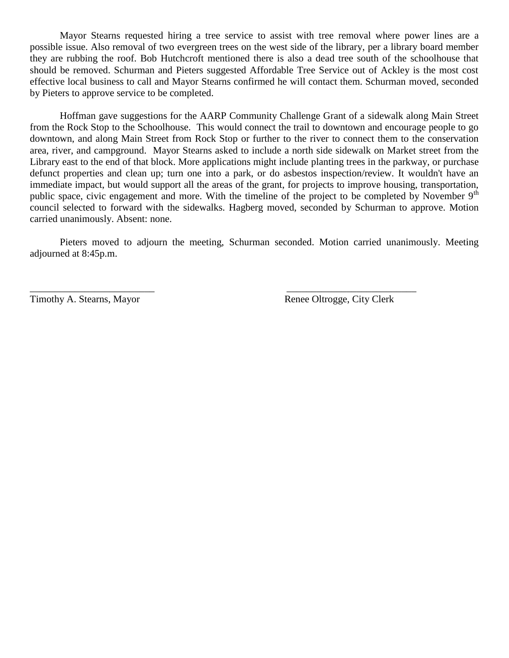Mayor Stearns requested hiring a tree service to assist with tree removal where power lines are a possible issue. Also removal of two evergreen trees on the west side of the library, per a library board member they are rubbing the roof. Bob Hutchcroft mentioned there is also a dead tree south of the schoolhouse that should be removed. Schurman and Pieters suggested Affordable Tree Service out of Ackley is the most cost effective local business to call and Mayor Stearns confirmed he will contact them. Schurman moved, seconded by Pieters to approve service to be completed.

Hoffman gave suggestions for the AARP Community Challenge Grant of a sidewalk along Main Street from the Rock Stop to the Schoolhouse. This would connect the trail to downtown and encourage people to go downtown, and along Main Street from Rock Stop or further to the river to connect them to the conservation area, river, and campground. Mayor Stearns asked to include a north side sidewalk on Market street from the Library east to the end of that block. More applications might include planting trees in the parkway, or purchase defunct properties and clean up; turn one into a park, or do asbestos inspection/review. It wouldn't have an immediate impact, but would support all the areas of the grant, for projects to improve housing, transportation, public space, civic engagement and more. With the timeline of the project to be completed by November 9<sup>th</sup> council selected to forward with the sidewalks. Hagberg moved, seconded by Schurman to approve. Motion carried unanimously. Absent: none.

Pieters moved to adjourn the meeting, Schurman seconded. Motion carried unanimously. Meeting adjourned at 8:45p.m.

 $\overline{\phantom{a}}$  , and the contract of the contract of the contract of the contract of the contract of the contract of the contract of the contract of the contract of the contract of the contract of the contract of the contrac

Timothy A. Stearns, Mayor Renee Oltrogge, City Clerk